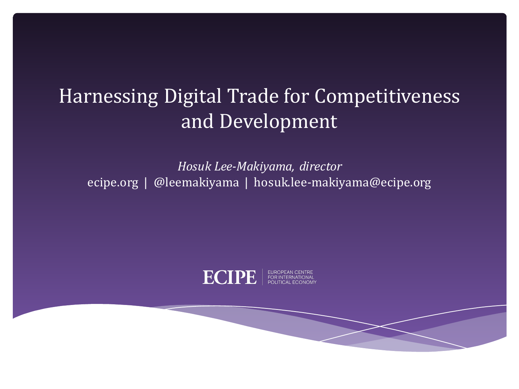### Harnessing Digital Trade for Competitiveness and Development

*Hosuk Lee-Makiyama, director* ecipe.org | @leemakiyama | hosuk.lee-makiyama@ecipe.org

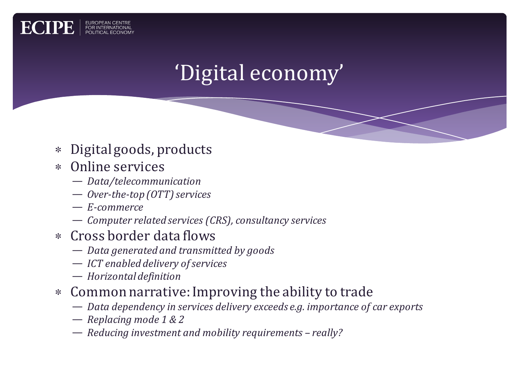

- ∗ Digital goods, products
- ∗ Online services

- *Data/telecommunication*
- $-$  *Over-the-top* (*OTT*) services
- *E-commerce*
- $-$  *Computer related services (CRS), consultancy services*
- ∗ Cross border data flows
	- $-$  *Data generated and transmitted by goods*
	- *ICT enabled delivery of services*
	- *Horizontal definition*
- ∗ Common narrative: Improving the ability to trade
	- *Data dependency in services delivery exceeds e.g. importance of car exports*
	- $-$  *Replacing mode 1 & 2*
	- $-$  *Reducing investment and mobility requirements really?*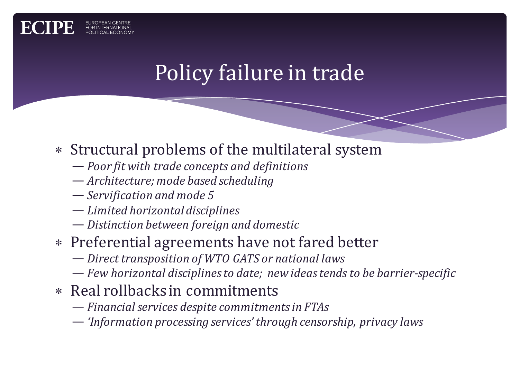

# Policy failure in trade

#### ∗ Structural problems of the multilateral system

- $-$  *Poor fit with trade concepts and definitions*
- $-$  *Architecture; mode based scheduling*
- $-$  *Servification* and mode 5
- *Limited horizontal disciplines*
- *Distinction between foreign and domestic*
- ∗ Preferential agreements have not fared better
	- $-$  *Direct transposition of WTO GATS or national laws*
	- *Few horizontal disciplines to date; new ideas tends to be barrier-specific*
- ∗ Real rollbacks in commitments
	- *Financial services despite commitments in FTAs*
	- *'Information processing services' through censorship, privacy laws*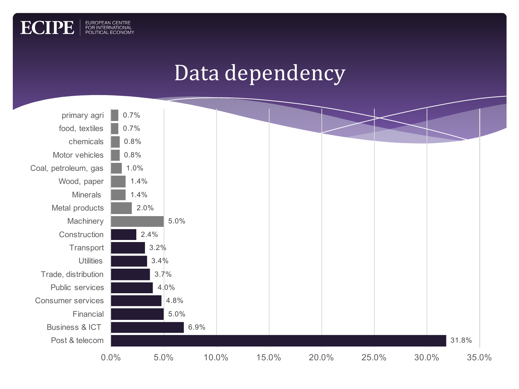

EUROPEAN CENTRE<br>FOR INTERNATIONAL<br>POLITICAL ECONOMY

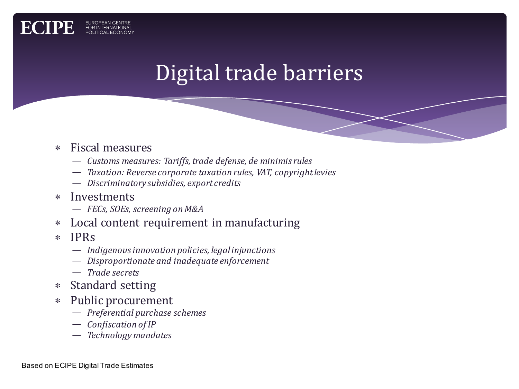## Digital trade barriers

#### ∗ Fiscal measures

EUROPEAN CENTRE<br>FOR INTERNATIONAL<br>POLITICAL ECONON

- $-$  *Customs measures: Tariffs, trade defense, de minimis rules*
- $-$  *Taxation: Reverse corporate taxation rules, VAT, copyright levies*
- $-$  *Discriminatory subsidies, export credits*
- ∗ Investments
	- *FECs, SOEs, screening on M&A*
- ∗ Local content requirement in manufacturing
- ∗ IPRs
	- $-$  *Indigenous innovation policies, legal injunctions*
	- $-$  *Disproportionate and inadequate enforcement*
	- *Trade secrets*
- ∗ Standard setting
- ∗ Public procurement
	- *Preferential purchase schemes*
	- $-$  *Confiscation of IP*
	- *Technology mandates*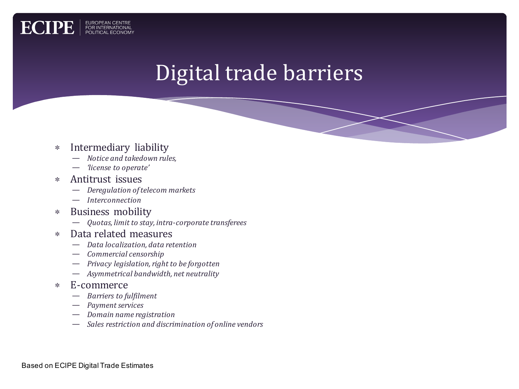

#### ∗ Intermediary liability

EUROPEAN CENTRE<br>FOR INTERNATIONAL<br>POLITICAL ECONOM

**ECIPE** 

- *Notice and takedown rules,*
- *'license to operate'*
- ∗ Antitrust issues
	- *Deregulation of telecom markets*
	- *Interconnection*
- ∗ Business mobility
	- $-$  *Quotas, limit to stay, intra-corporate transferees*
- ∗ Data related measures
	- *Data localization, data retention*
	- *Commercial censorship*
	- *Privacy legislation, right to be forgotten*
	- Asymmetrical bandwidth, net neutrality

#### ∗ E-commerce

- *Barriers to fulfilment*
- *Payment services*
- *Domain name registration*
- $-$  Sales restriction and discrimination of online vendors

Based on ECIPE Digital Trade Estimates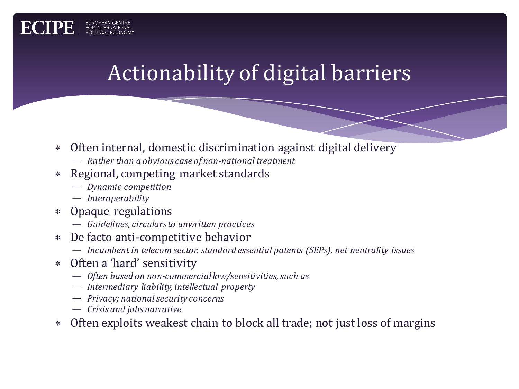## Actionability of digital barriers

- ∗ Often internal, domestic discrimination against digital delivery
	- $-$  *Rather than a obvious case of non-national treatment*
- ∗ Regional, competing market standards
	- *Dynamic competition*
	- *Interoperability*

- ∗ Opaque regulations
	- $-$  *Guidelines, circulars to unwritten practices*
- ∗ De facto anti-competitive behavior
	- $-$  *Incumbent in telecom sector, standard essential patents (SEPs), net neutrality issues*
- ∗ Often a 'hard' sensitivity
	- $-$  Often based on non-commercial law/sensitivities, such as
	- *Intermediary liability, intellectual property*
	- *Privacy; national security concerns*
	- $-$  *Crisis and jobs narrative*
- ∗ Often exploits weakest chain to block all trade; not just loss of margins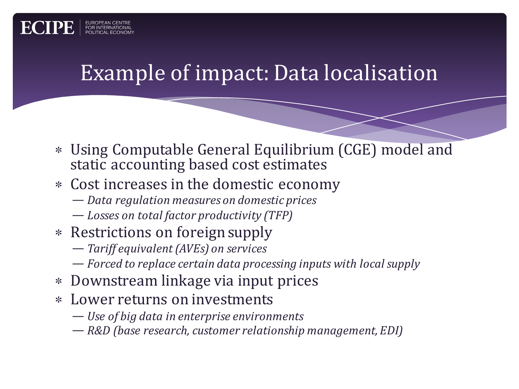### Example of impact: Data localisation

- ∗ Using Computable General Equilibrium (CGE) model and static accounting based cost estimates
- ∗ Cost increases in the domestic economy
	- *Data regulation measures on domestic prices*
	- $-$  *Losses on total factor productivity* (TFP)
- ∗ Restrictions on foreign supply

ECIP

- $-$  *Tariff equivalent (AVEs) on services*
- *Forced to replace certain data processing inputs with local supply*
- ∗ Downstream linkage via input prices
- ∗ Lower returns on investments
	- *Use of big data in enterprise environments*
	- *R&D* (base research, customer relationship management, *EDI*)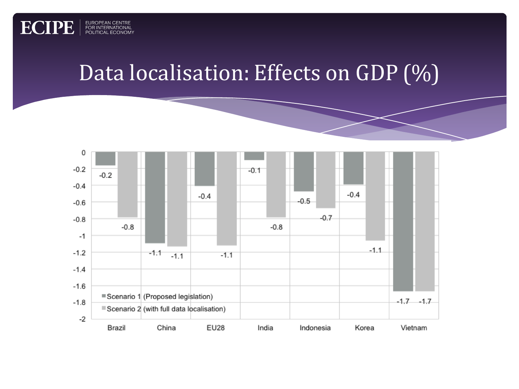

**ECIPE** 

EUROPEAN CENTRE<br>FOR INTERNATIONAL<br>POLITICAL ECONOMY

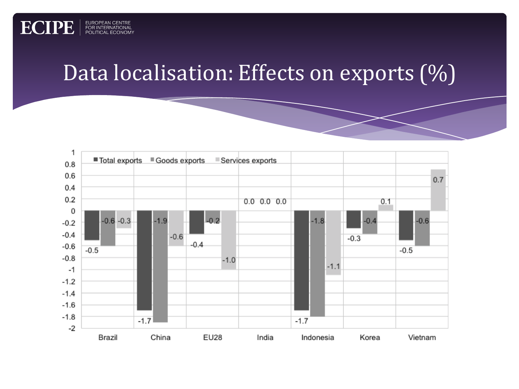### Data localisation: Effects on exports  $(\%)$

**ECIPE** 

EUROPEAN CENTRE<br>FOR INTERNATIONAL<br>POLITICAL ECONOMY